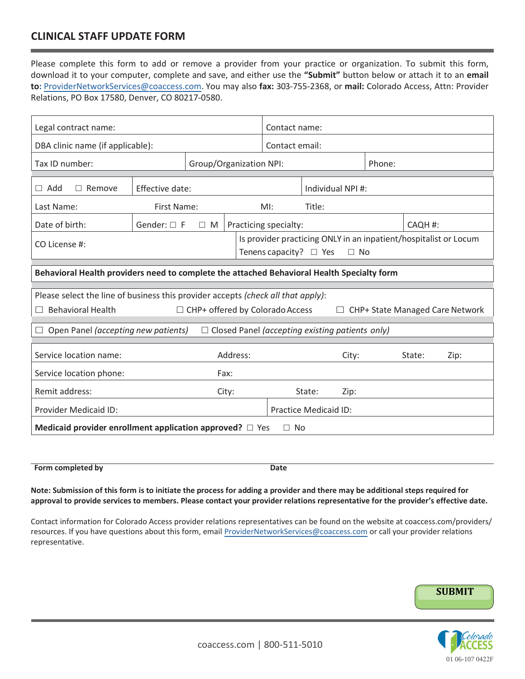## **CLINICAL STAFF UPDATE FORM**

Please complete this form to add or remove a provider from your practice or organization. To submit this form, download it to your computer, complete and save, and either use the **"Submit"** button below or a[ttach it to an](mailto:providerrelations@coaccess.com) **email to:** [Provider](mailto:providerrelations@coaccess.com)[NetworkServices](mailto: ProviderNetworkServices@coaccess.com)@coaccess.com. You may also **fax:** 303-755-2368, or **mail:** Colorado Access, Attn: Provider Relations, PO Box 17580, Denver, CO 80217-0580.

| Legal contract name:                                                                                         |                         |          |                   | Contact name:         |                              |       |  |         |                                                                  |
|--------------------------------------------------------------------------------------------------------------|-------------------------|----------|-------------------|-----------------------|------------------------------|-------|--|---------|------------------------------------------------------------------|
| DBA clinic name (if applicable):                                                                             |                         |          |                   | Contact email:        |                              |       |  |         |                                                                  |
| Tax ID number:                                                                                               | Group/Organization NPI: |          |                   |                       | Phone:                       |       |  |         |                                                                  |
| $\Box$ Remove<br>$\Box$ Add                                                                                  | Effective date:         |          | Individual NPI #: |                       |                              |       |  |         |                                                                  |
|                                                                                                              |                         |          |                   |                       |                              |       |  |         |                                                                  |
| Last Name:<br>First Name:                                                                                    |                         |          |                   | $Ml$ :                | Title:                       |       |  |         |                                                                  |
| Date of birth:                                                                                               | Gender: $\square$ F     | $\Box$ M |                   | Practicing specialty: |                              |       |  | CAQH #: |                                                                  |
| CO License #:                                                                                                |                         |          |                   |                       |                              |       |  |         | Is provider practicing ONLY in an inpatient/hospitalist or Locum |
| Tenens capacity? $\Box$ Yes<br>$\Box$ No                                                                     |                         |          |                   |                       |                              |       |  |         |                                                                  |
|                                                                                                              |                         |          |                   |                       |                              |       |  |         |                                                                  |
| Behavioral Health providers need to complete the attached Behavioral Health Specialty form                   |                         |          |                   |                       |                              |       |  |         |                                                                  |
| Please select the line of business this provider accepts (check all that apply):                             |                         |          |                   |                       |                              |       |  |         |                                                                  |
| <b>Behavioral Health</b><br>$\Box$ CHP+ offered by Colorado Access<br>$\Box$ CHP+ State Managed Care Network |                         |          |                   |                       |                              |       |  |         |                                                                  |
|                                                                                                              |                         |          |                   |                       |                              |       |  |         |                                                                  |
| Open Panel (accepting new patients)<br>$\Box$ Closed Panel (accepting existing patients only)                |                         |          |                   |                       |                              |       |  |         |                                                                  |
|                                                                                                              |                         |          |                   |                       |                              |       |  |         |                                                                  |
| Service location name:                                                                                       | Address:                |          |                   |                       |                              | City: |  | State:  | Zip:                                                             |
| Service location phone:<br>Fax:                                                                              |                         |          |                   |                       |                              |       |  |         |                                                                  |
| Remit address:                                                                                               |                         |          | City:             |                       | State:                       | Zip:  |  |         |                                                                  |
| <b>Provider Medicaid ID:</b>                                                                                 |                         |          |                   |                       | <b>Practice Medicaid ID:</b> |       |  |         |                                                                  |
| Medicaid provider enrollment application approved? $\Box$ Yes<br>$\Box$ No                                   |                         |          |                   |                       |                              |       |  |         |                                                                  |

**Form** completed by **Date** 

**Note: Submission of this form is to initiate the process for adding a provider and there may be additional steps required for approval to provide services to members. Please contact your provider relations representative for the provider's effective date.**

Contact information for Colorado Access provider relations representatives can be found on the website at coaccess.com/providers/ resources. If you have questions about this form, email Provider[NetworkServices](mailto:ProviderNetworkServices@coaccess.com)@coaccess.com or call your provider relations representative.